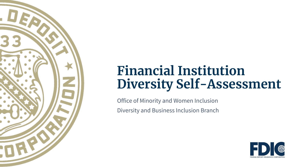

# **Financial Institution Diversity Self-Assessment**

Office of Minority and Women Inclusion Diversity and Business Inclusion Branch

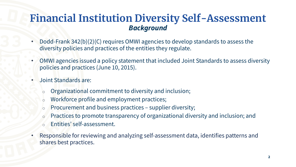## **Financial Institution Diversity Self-Assessment** *Background*

- Dodd-Frank 342(b)(2)(C) requires OMWI agencies to develop standards to assess the diversity policies and practices of the entities they regulate.
- OMWI agencies issued a policy statement that included Joint Standards to assess diversity policies and practices (June 10, 2015).
- Joint Standards are:
	- $\circ$  Organizational commitment to diversity and inclusion;
	- o Workforce profile and employment practices;
	- o Procurement and business practices supplier diversity;
	- o Practices to promote transparency of organizational diversity and inclusion; and
	- Entities' self-assessment.
- Responsible for reviewing and analyzing self-assessment data, identifies patterns and shares best practices.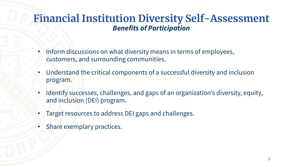## **Financial Institution Diversity Self-Assessment** *Benefits of Participation*

- Inform discussions on what diversity means in terms of employees, customers, and surrounding communities.
- Understand the critical components of a successful diversity and inclusion program.
- Identify successes, challenges, and gaps of an organization's diversity, equity, and inclusion (DEI) program.
- Target resources to address DEI gaps and challenges.
- Share exemplary practices.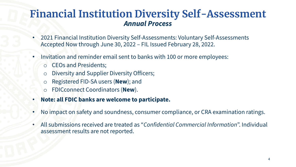### **Financial Institution Diversity Self-Assessment** *Annual Process*

- 2021 Financial Institution Diversity Self-Assessments: Voluntary Self-Assessments Accepted Now through June 30, 2022 – FIL Issued February 28, 2022.
- Invitation and reminder email sent to banks with 100 or more employees:
	- o CEOs and Presidents;
	- Diversity and Supplier Diversity Officers;
	- o Registered FID-SA users (**New**); and
	- o FDICconnect Coordinators (**New**).
- **Note: all FDIC banks are welcome to participate.**
- No impact on safety and soundness, consumer compliance, or CRA examination ratings.
- All submissions received are treated as "*Confidential Commercial Information*". Individual assessment results are not reported.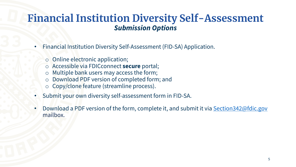## **Financial Institution Diversity Self-Assessment** *Submission Options*

- Financial Institution Diversity Self-Assessment (FID-SA) Application.
	- o Online electronic application;
	- o Accessible via FDICconnect **secure** portal;
	- o Multiple bank users may access the form;
	- o Download PDF version of completed form; and
	- o Copy/clone feature (streamline process).
- Submit your own diversity self-assessment form in FID-SA.
- Download a PDF version of the form, complete it, and submit it via [Section342@fdic.gov](mailto:Section342@fdic.gov) mailbox.